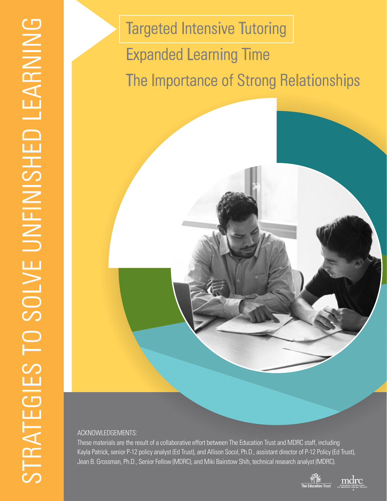Targeted Intensive Tutoring Expanded Learning Time The Importance of Strong Relationships

#### ACKNOWLEDGEMENTS:

These materials are the result of a collaborative effort between The Education Trust and MDRC staff, including Kayla Patrick, senior P-12 policy analyst (Ed Trust), and Allison Socol, Ph.D., assistant director of P-12 Policy (Ed Trust), Jean B. Grossman, Ph.D., Senior Fellow (MDRC), and Miki Bairstow Shih, technical research analyst (MDRC).

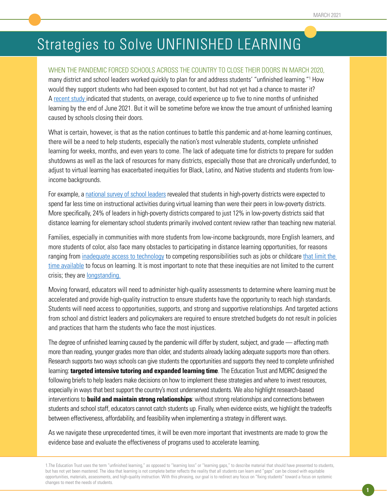## Strategies to Solve UNFINISHED LEARNING

#### WHEN THE PANDEMIC FORCED SCHOOLS ACROSS THE COUNTRY TO CLOSE THEIR DOORS IN MARCH 2020,

many district and school leaders worked quickly to plan for and address students' "unfinished learning."<sup>1</sup> How would they support students who had been exposed to content, but had not yet had a chance to master it? A [recent study](https://www.mckinsey.com/industries/public-and-social-sector/our-insights/covid-19-and-learning-loss-disparities-grow-and-students-need-help) indicated that students, on average, could experience up to five to nine months of unfinished learning by the end of June 2021. But it will be sometime before we know the true amount of unfinished learning caused by schools closing their doors.

What is certain, however, is that as the nation continues to battle this pandemic and at-home learning continues, there will be a need to help students, especially the nation's most vulnerable students, complete unfinished learning for weeks, months, and even years to come. The lack of adequate time for districts to prepare for sudden shutdowns as well as the lack of resources for many districts, especially those that are chronically underfunded, to adjust to virtual learning has exacerbated inequities for Black, Latino, and Native students and students from lowincome backgrounds.

For example, a national survey of school leaders revealed that students in high-poverty districts were expected to spend far less time on instructional activities during virtual learning than were their peers in low-poverty districts. More specifically, 24% of leaders in high-poverty districts compared to just 12% in low-poverty districts said that distance learning for elementary school students primarily involved content review rather than teaching new material.

Families, especially in communities with more students from low-income backgrounds, more English learners, and more students of color, also face many obstacles to participating in distance learning opportunities, for reasons ranging from inadequate access to technology to competing responsibilities such as jobs or childcare that limit the time available to focus on learning. It is most important to note that these inequities are not limited to the current crisis; they are longstanding.

Moving forward, educators will need to administer high-quality assessments to determine where learning must be accelerated and provide high-quality instruction to ensure students have the opportunity to reach high standards. Students will need access to opportunities, supports, and strong and supportive relationships. And targeted actions from school and district leaders and policymakers are required to ensure stretched budgets do not result in policies and practices that harm the students who face the most injustices.

The degree of unfinished learning caused by the pandemic will differ by student, subject, and grade — affecting math more than reading, younger grades more than older, and students already lacking adequate supports more than others. Research supports two ways schools can give students the opportunities and supports they need to complete unfinished learning: **targeted intensive tutoring and expanded learning time**. The Education Trust and MDRC designed the following briefs to help leaders make decisions on how to implement these strategies and where to invest resources, especially in ways that best support the country's most underserved students. We also highlight research-based interventions to **build and maintain strong relationships**: without strong relationships and connections between students and school staff, educators cannot catch students up. Finally, when evidence exists, we highlight the tradeoffs between effectiveness, affordability, and feasibility when implementing a strategy in different ways.

As we navigate these unprecedented times, it will be even more important that investments are made to grow the evidence base and evaluate the effectiveness of programs used to accelerate learning.

<sup>1.</sup>The Education Trust uses the term "unfinished learning," as opposed to "learning loss" or "learning gaps," to describe material that should have presented to students, but has not yet been mastered. The idea that learning is not complete better reflects the reality that all students can learn and "gaps" can be closed with equitable opportunities, materials, assessments, and high-quality instruction. With this phrasing, our goal is to redirect any focus on "fixing students" toward a focus on systemic changes to meet the needs of students.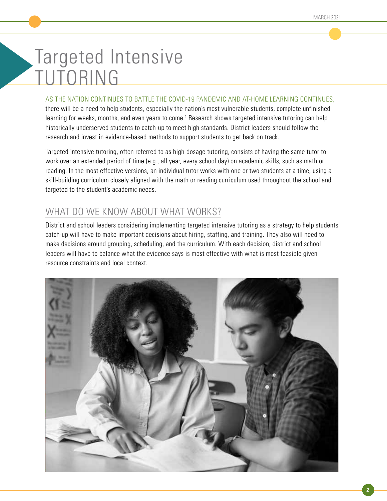# Targeted Intensive TUTORING

#### AS THE NATION CONTINUES TO BATTLE THE COVID-19 PANDEMIC AND AT-HOME LEARNING CONTINUES,

there will be a need to help students, especially the nation's most vulnerable students, complete unfinished learning for weeks, months, and even years to come.<sup>1</sup> Research shows targeted intensive tutoring can help historically underserved students to catch-up to meet high standards. District leaders should follow the research and invest in evidence-based methods to support students to get back on track.

Targeted intensive tutoring, often referred to as high-dosage tutoring, consists of having the same tutor to work over an extended period of time (e.g., all year, every school day) on academic skills, such as math or reading. In the most effective versions, an individual tutor works with one or two students at a time, using a skill-building curriculum closely aligned with the math or reading curriculum used throughout the school and targeted to the student's academic needs.

## WHAT DO WE KNOW ABOUT WHAT WORKS?

District and school leaders considering implementing targeted intensive tutoring as a strategy to help students catch-up will have to make important decisions about hiring, staffing, and training. They also will need to make decisions around grouping, scheduling, and the curriculum. With each decision, district and school leaders will have to balance what the evidence says is most effective with what is most feasible given resource constraints and local context.

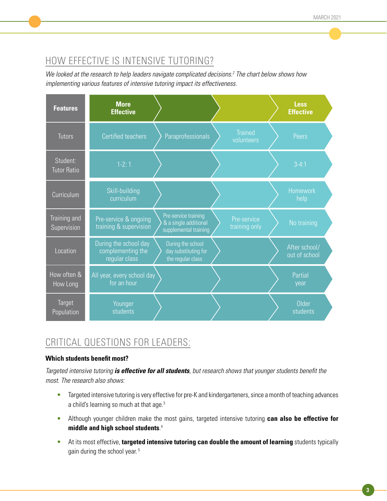## HOW EFFECTIVE IS INTENSIVE TUTORING?

*We looked at the research to help leaders navigate complicated decisions.2 The chart below shows how implementing various features of intensive tutoring impact its effectiveness.* 

| <b>Features</b>                | <b>More</b><br><b>Effective</b>                             |                                                                        |                              | <b>Less</b><br><b>Effective</b> |  |
|--------------------------------|-------------------------------------------------------------|------------------------------------------------------------------------|------------------------------|---------------------------------|--|
| <b>Tutors</b>                  | <b>Certified teachers</b>                                   | Paraprofessionals                                                      | <b>Trained</b><br>volunteers | <b>Peers</b>                    |  |
| Student:<br><b>Tutor Ratio</b> | $1-2:1$                                                     |                                                                        |                              | $3-4:1$                         |  |
| Curriculum                     | Skill-building<br>curriculum                                |                                                                        |                              | <b>Homework</b><br>help         |  |
| Training and<br>Supervision    | Pre-service & ongoing<br>training & supervision             | Pre-service training<br>& a single additional<br>supplemental training | Pre-service<br>training only | No training                     |  |
| Location                       | During the school day<br>complementing the<br>regular class | During the school<br>day substituting for<br>the regular class         |                              | After school/<br>out of school  |  |
| How often &<br>How Long        | All year, every school day<br>for an hour                   |                                                                        |                              | Partial<br>year                 |  |
| Target<br>Population           | Younger<br>students                                         |                                                                        |                              | Older<br>students               |  |

## CRITICAL QUESTIONS FOR LEADERS:

#### **Which students benefit most?**

*Targeted intensive tutoring is effective for all students*, but research shows that younger students benefit the *most. The research also shows:*

- Targeted intensive tutoring is very effective for pre-K and kindergarteners, since a month of teaching advances a child's learning so much at that age.<sup>3</sup>
- Although younger children make the most gains, targeted intensive tutoring **can also be effective for middle and high school students**. 4
- At its most effective, **targeted intensive tutoring can double the amount of learning** students typically gain during the school year. 5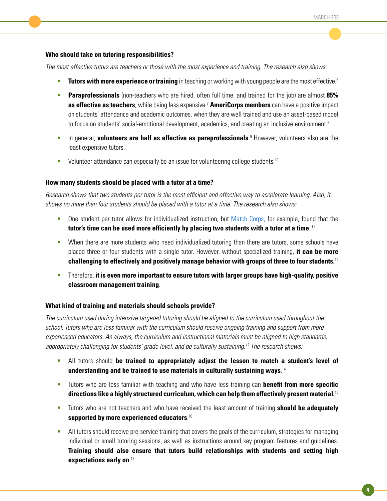#### **Who should take on tutoring responsibilities?**

*The most effective tutors are teachers or those with the most experience and training. The research also shows:*

- **Tutors with more experience or training** in teaching or working with young people are the most effective.<sup>6</sup>
- **Paraprofessionals** (non-teachers who are hired, often full time, and trained for the job) are almost **85% as effective as teachers**, while being less expensive.<sup>7</sup> **AmeriCorps members** can have a positive impact on students' attendance and academic outcomes, when they are well trained and use an asset-based model to focus on students' social-emotional development, academics, and creating an inclusive environment.<sup>8</sup>
- **•** In general, **volunteers are half as effective as paraprofessionals**.<sup>9</sup> However, volunteers also are the least expensive tutors.
- Volunteer attendance can especially be an issue for volunteering college students.<sup>10</sup>

#### **How many students should be placed with a tutor at a time?**

Research shows that two students per tutor is the most efficient and effective way to accelerate learning. Also, it *shows no more than four students should be placed with a tutor at a time. The research also shows:*

- One student per tutor allows for individualized instruction, but [Match Corps](https://www.matcheducation.org/join/match-corps/), for example, found that the **tutor's time can be used more efficiently by placing two students with a tutor at a time**. 11
- When there are more students who need individualized tutoring than there are tutors, some schools have placed three or four students with a single tutor. However, without specialized training, **it can be more challenging to effectively and positively manage behavior with groups of three to four students.**<sup>12</sup>
- Therefore, **it is even more important to ensure tutors with larger groups have high-quality, positive classroom management training**.

#### **What kind of training and materials should schools provide?**

*The curriculum used during intensive targeted tutoring should be aligned to the curriculum used throughout the school. Tutors who are less familiar with the curriculum should receive ongoing training and support from more*  experienced educators. As always, the curriculum and instructional materials must be aligned to high standards, *appropriately challenging for students' grade level, and be culturally sustaining.13 The research shows:*

- All tutors should **be trained to appropriately adjust the lesson to match a student's level of understanding and be trained to use materials in culturally sustaining ways**. 14
- Tutors who are less familiar with teaching and who have less training can **benefit from more specific directions like a highly structured curriculum, which can help them effectively present material.**<sup>15</sup>
- Tutors who are not teachers and who have received the least amount of training **should be adequately supported by more experienced educators**. 16
- All tutors should receive pre-service training that covers the goals of the curriculum, strategies for managing individual or small tutoring sessions, as well as instructions around key program features and guidelines. **Training should also ensure that tutors build relationships with students and setting high expectations early on**. 17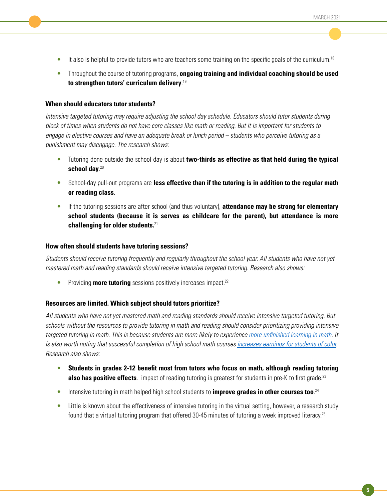- $\bullet$  It also is helpful to provide tutors who are teachers some training on the specific goals of the curriculum.<sup>18</sup>
- Throughout the course of tutoring programs, **ongoing training and individual coaching should be used to strengthen tutors' curriculum delivery**. 19

#### **When should educators tutor students?**

*Intensive targeted tutoring may require adjusting the school day schedule. Educators should tutor students during block of times when students do not have core classes like math or reading. But it is important for students to engage in elective courses and have an adequate break or lunch period – students who perceive tutoring as a punishment may disengage. The research shows:*

- Tutoring done outside the school day is about **two-thirds as effective as that held during the typical school day**. 20
- School-day pull-out programs are **less effective than if the tutoring is in addition to the regular math or reading class**.
- If the tutoring sessions are after school (and thus voluntary), **attendance may be strong for elementary school students (because it is serves as childcare for the parent), but attendance is more challenging for older students.**<sup>21</sup>

#### **How often should students have tutoring sessions?**

Students should receive tutoring frequently and regularly throughout the school year. All students who have not yet *mastered math and reading standards should receive intensive targeted tutoring. Research also shows:*

• Providing **more tutoring** sessions positively increases impact.<sup>22</sup>

#### **Resources are limited. Which subject should tutors prioritize?**

All students who have not yet mastered math and reading standards should receive intensive targeted tutoring. But *schools without the resources to provide tutoring in math and reading should consider prioritizing providing intensive targeted tutoring in math. This is because students are more likely to experience* more unfinished learning in math*. It is also worth noting that successful completion of high school math courses [increases earnings for students of color.](https://scholar.harvard.edu/files/joshuagoodman/files/w23063.pdf) Research also shows:*

- **Students in grades 2-12 benefit most from tutors who focus on math, although reading tutoring also has positive effects**. impact of reading tutoring is greatest for students in pre-K to first grade.<sup>23</sup>
- Intensive tutoring in math helped high school students to **improve grades in other courses too**.<sup>24</sup>
- Little is known about the effectiveness of intensive tutoring in the virtual setting, however, a research study found that a virtual tutoring program that offered 30-45 minutes of tutoring a week improved literacy.25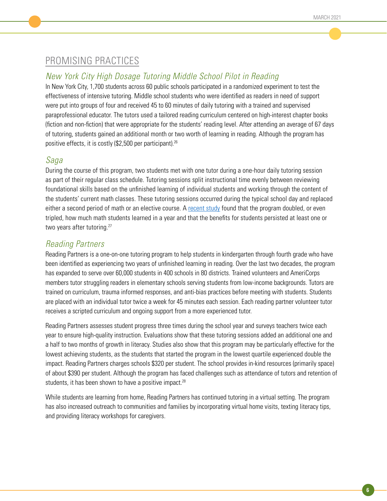## PROMISING PRACTICES

## *New York City High Dosage Tutoring Middle School Pilot in Reading*

In New York City, 1,700 students across 60 public schools participated in a randomized experiment to test the effectiveness of intensive tutoring. Middle school students who were identified as readers in need of support were put into groups of four and received 45 to 60 minutes of daily tutoring with a trained and supervised paraprofessional educator. The tutors used a tailored reading curriculum centered on high-interest chapter books (fiction and non-fiction) that were appropriate for the students' reading level. After attending an average of 67 days of tutoring, students gained an additional month or two worth of learning in reading. Although the program has positive effects, it is costly (\$2,500 per participant).<sup>26</sup>

## *Saga*

During the course of this program, two students met with one tutor during a one-hour daily tutoring session as part of their regular class schedule. Tutoring sessions split instructional time evenly between reviewing foundational skills based on the unfinished learning of individual students and working through the content of the students' current math classes. These tutoring sessions occurred during the typical school day and replaced either a second period of math or an elective course. A [recent study](https://www2.nber.org/papers/w28531) found that the program doubled, or even tripled, how much math students learned in a year and that the benefits for students persisted at least one or two years after tutoring.<sup>27</sup>

## *Reading Partners*

Reading Partners is a one-on-one tutoring program to help students in kindergarten through fourth grade who have been identified as experiencing two years of unfinished learning in reading. Over the last two decades, the program has expanded to serve over 60,000 students in 400 schools in 80 districts. Trained volunteers and AmeriCorps members tutor struggling readers in elementary schools serving students from low-income backgrounds. Tutors are trained on curriculum, trauma informed responses, and anti-bias practices before meeting with students. Students are placed with an individual tutor twice a week for 45 minutes each session. Each reading partner volunteer tutor receives a scripted curriculum and ongoing support from a more experienced tutor.

Reading Partners assesses student progress three times during the school year and surveys teachers twice each year to ensure high-quality instruction. Evaluations show that these tutoring sessions added an additional one and a half to two months of growth in literacy. Studies also show that this program may be particularly effective for the lowest achieving students, as the students that started the program in the lowest quartile experienced double the impact. Reading Partners charges schools \$320 per student. The school provides in-kind resources (primarily space) of about \$390 per student. Although the program has faced challenges such as attendance of tutors and retention of students, it has been shown to have a positive impact.<sup>28</sup>

While students are learning from home, Reading Partners has continued tutoring in a virtual setting. The program has also increased outreach to communities and families by incorporating virtual home visits, texting literacy tips, and providing literacy workshops for caregivers.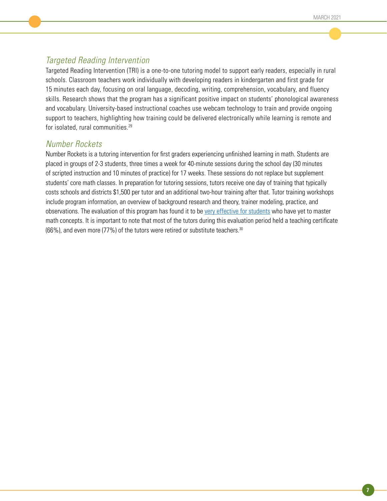## *Targeted Reading Intervention*

Targeted Reading Intervention (TRI) is a one-to-one tutoring model to support early readers, especially in rural schools. Classroom teachers work individually with developing readers in kindergarten and first grade for 15 minutes each day, focusing on oral language, decoding, writing, comprehension, vocabulary, and fluency skills. Research shows that the program has a significant positive impact on students' phonological awareness and vocabulary. University-based instructional coaches use webcam technology to train and provide ongoing support to teachers, highlighting how training could be delivered electronically while learning is remote and for isolated, rural communities.<sup>29</sup>

## *Number Rockets*

Number Rockets is a tutoring intervention for first graders experiencing unfinished learning in math. Students are placed in groups of 2-3 students, three times a week for 40-minute sessions during the school day (30 minutes of scripted instruction and 10 minutes of practice) for 17 weeks. These sessions do not replace but supplement students' core math classes. In preparation for tutoring sessions, tutors receive one day of training that typically costs schools and districts \$1,500 per tutor and an additional two-hour training after that. Tutor training workshops include program information, an overview of background research and theory, trainer modeling, practice, and observations. The evaluation of this program has found it to be [very effective for students](https://www.researchgate.net/profile/Russell_Gersten/publication/273279512_Intervention_for_First_Graders_With_Limited_Number_Knowledge/links/583c734a08ae1ff45982ff7d/Intervention-for-First-Graders-With-Limited-Number-Knowledge.pdf) who have yet to master math concepts. It is important to note that most of the tutors during this evaluation period held a teaching certificate (66%), and even more (77%) of the tutors were retired or substitute teachers.30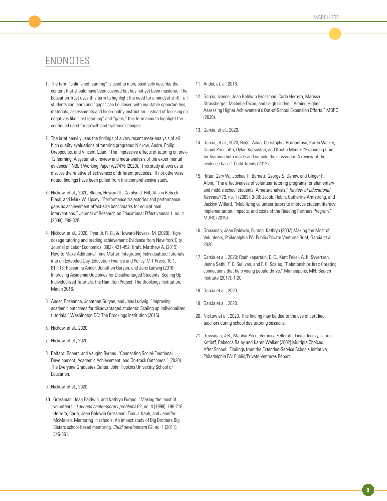## ENDNOTES

- 1. The term "unfinished learning" is used to more positively describe the content that should have been covered but has not yet been mastered. The Education Trust uses this term to highlight the need for a mindset shift –all students can learn and "gaps" can be closed with equitable opportunities, materials, assessments and high-quality instruction. Instead of focusing on negatives like "lost learning" and "gaps," this term aims to highlight the continued need for growth and systemic changes.
- 2. The brief heavily uses the findings of a very recent meta-analysis of all high quality evaluations of tutoring programs: Nickow, Andre, Philip Oreopoulos, and Vincent Quan. "The impressive effects of tutoring on prek-12 learning: A systematic review and meta-analysis of the experimental evidence." NBER Working Paper w27476 (2020). This study allows us to discuss the relative effectiveness of different practices. If not otherwise noted, findings have been pulled from this comprehensive study.
- 3. Nickow, et al., 2020; Bloom, Howard S., Carolyn J. Hill, Alison Rebeck Black, and Mark W. Lipsey. "Performance trajectories and performance gaps as achievement effect-size benchmarks for educational interventions." Journal of Research on Educational Effectiveness 1, no. 4 (2008): 289-328.
- 4. Nickow, et al., 2020; Fryer Jr, R. G., & Howard-Noveck, M. (2020). Highdosage tutoring and reading achievement: Evidence from New York City. Journal of Labor Economics, 38(2), 421-452; Kraft, Matthew A. (2015) How to Make Additional Time Matter: Integrating Individualized Tutorials into an Extended Day, Education Finance and Policy, MIT Press, 10:1, 81-116; Roseanna Ander, Jonathan Guryan, and Jens Ludwig (2016) Improving Academic Outcomes for Disadvantaged Students: Scaling Up Individualized Tutorials, the Hamilton Project, The Brookings Institution, March 2016.
- 5. Ander, Roseanna, Jonathan Guryan, and Jens Ludwig. "Improving academic outcomes for disadvantaged students: Scaling up individualized tutorials." Washington DC: The Brookings Institution (2016).
- 6. Nickow, et al., 2020.
- 7. Nickow, et al., 2020.
- 8. Balfanz, Robert, and Vaughn Byrnes. "Connecting Social-Emotional Development, Academic Achievement, and On-track Outcomes." (2020). The Everyone Graduates Center. John Hopkins University School of Education.
- 9. Nickow, et al., 2020.
- 10. Grossman, Jean Baldwin, and Kathryn Furano. "Making the most of volunteers." *Law and contemporary problems* 62, no. 4 (1999): 199-218.; Herrera, Carla, Jean Baldwin Grossman, Tina J. Kauh, and Jennifer McMaken. Mentoring in schools: An impact study of Big Brothers Big Sisters school-based mentoring. *Child development* 82, no. 1 (2011): 346-361.
- 11. Ander, et. al, 2016.
- 12. Garcia, Ivonne, Jean Baldwin Grossman, Carla Herrera, Marissa Strassberger, Michelle Dixon, and Leigh Linden. "Aiming Higher: Assessing Higher Achievement's Out-of-School Expansion Efforts." MDRC (2020).
- 13. Garcia, et al., 2020.
- 14. Garcia, et al., 2020; Redd, Zakia, Christopher Boccanfuso, Karen Walker, Daniel Princiotta, Dylan Knewstub, and Kristin Moore. "Expanding time for learning both inside and outside the classroom: A review of the evidence base." Child Trends (2012).
- 15. Ritter, Gary W., Joshua H. Barnett, George S. Denny, and Ginger R. Albin. "The effectiveness of volunteer tutoring programs for elementary and middle school students: A meta-analysis." *Review of Educational Research* 79, no. 1 (2009): 3-38; Jacob, Robin, Catherine Armstrong, and Jacklyn Willard. "Mobilizing volunteer tutors to improve student literacy: Implementation, impacts, and costs of the Reading Partners Program." MDRC (2015).
- 16. Grossman, Jean Baldwin, Furano, Kathryn (2002) Making the Most of Volunteers, Philadelphia PA: Public/Private Ventures Brief; Garcia et al., 2020.
- 17. Garcia et al., 2020; Roehlkepartain, E. C., Kent Pekel, A. K. Syvertsen, Jenna Sethi, T. K. Sullivan, and P. C. Scales. "Relationships first: Creating connections that help young people thrive." Minneapolis, MN: Search Institute (2017): 1-20.
- 18. Garcia et al., 2020.
- 19. Garcia et al., 2020.
- 20. Nickow et al., 2020. This finding may be due to the use of certified teachers during school day tutoring sessions.
- 21. Grossman, J.B., Marilyn Price, Veronica Fellerath, Linda Jucovy, Laurie Kotloff, Rebecca Raley and Karen Walker (2002) Multiple Choices After School: Findings from the Extended-Service Schools Initiative, Philadelphia PA: Public/Private Ventures Report.